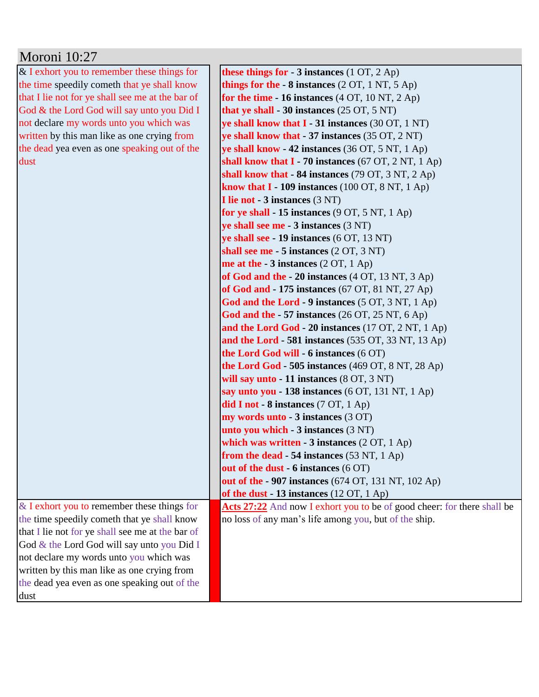| Moroni 10:27                                     |                                                                         |
|--------------------------------------------------|-------------------------------------------------------------------------|
| $&$ I exhort you to remember these things for    | these things for $-3$ instances (1 OT, 2 Ap)                            |
| the time speedily cometh that ye shall know      | things for the $-8$ instances (2 OT, 1 NT, 5 Ap)                        |
| that I lie not for ye shall see me at the bar of | for the time $-16$ instances $(4 OT, 10 NT, 2 Ap)$                      |
| God & the Lord God will say unto you Did I       | that ye shall - 30 instances (25 OT, 5 NT)                              |
| not declare my words unto you which was          | ye shall know that I - 31 instances (30 OT, 1 NT)                       |
| written by this man like as one crying from      | ye shall know that - 37 instances (35 OT, 2 NT)                         |
| the dead yea even as one speaking out of the     | ye shall know - 42 instances (36 OT, 5 NT, 1 Ap)                        |
| dust                                             | shall know that $I - 70$ instances (67 OT, 2 NT, 1 Ap)                  |
|                                                  | shall know that $-84$ instances (79 OT, 3 NT, 2 Ap)                     |
|                                                  | know that $I - 109$ instances (100 OT, 8 NT, 1 Ap)                      |
|                                                  | I lie not - 3 instances (3 NT)                                          |
|                                                  | for ye shall $-15$ instances (9 OT, 5 NT, 1 Ap)                         |
|                                                  | ye shall see me - 3 instances (3 NT)                                    |
|                                                  | ye shall see - 19 instances (6 OT, 13 NT)                               |
|                                                  | shall see me - 5 instances (2 OT, 3 NT)                                 |
|                                                  | me at the $-3$ instances (2 OT, 1 Ap)                                   |
|                                                  | of God and the - 20 instances $(4 OT, 13 NT, 3 Ap)$                     |
|                                                  | of God and $-175$ instances (67 OT, 81 NT, 27 Ap)                       |
|                                                  | God and the Lord - 9 instances (5 OT, 3 NT, 1 Ap)                       |
|                                                  | God and the $-57$ instances (26 OT, 25 NT, 6 Ap)                        |
|                                                  | and the Lord God - 20 instances (17 OT, 2 NT, 1 Ap)                     |
|                                                  | and the Lord - 581 instances (535 OT, 33 NT, 13 Ap)                     |
|                                                  | the Lord God will - 6 instances (6 OT)                                  |
|                                                  | the Lord God - 505 instances $(469$ OT, $8$ NT, $28$ Ap)                |
|                                                  | will say unto - 11 instances (8 OT, 3 NT)                               |
|                                                  | say unto you - 138 instances (6 OT, 131 NT, 1 Ap)                       |
|                                                  | did I not - 8 instances $(7 OT, 1 Ap)$                                  |
|                                                  | my words unto - 3 instances (3 OT)                                      |
|                                                  | unto you which - 3 instances (3 NT)                                     |
|                                                  | which was written $-3$ instances (2 OT, 1 Ap)                           |
|                                                  | from the dead - 54 instances $(53 \text{ NT}, 1 \text{ Ap})$            |
|                                                  | out of the dust - 6 instances (6 OT)                                    |
|                                                  | out of the - 907 instances (674 OT, 131 NT, 102 Ap)                     |
|                                                  | of the dust $-13$ instances (12 OT, 1 Ap)                               |
| $&$ I exhort you to remember these things for    | Acts 27:22 And now I exhort you to be of good cheer: for there shall be |
| the time speedily cometh that ye shall know      | no loss of any man's life among you, but of the ship.                   |
| that I lie not for ye shall see me at the bar of |                                                                         |
| God & the Lord God will say unto you Did I       |                                                                         |
| not declare my words unto you which was          |                                                                         |
| written by this man like as one crying from      |                                                                         |
| the dead yea even as one speaking out of the     |                                                                         |
| dust                                             |                                                                         |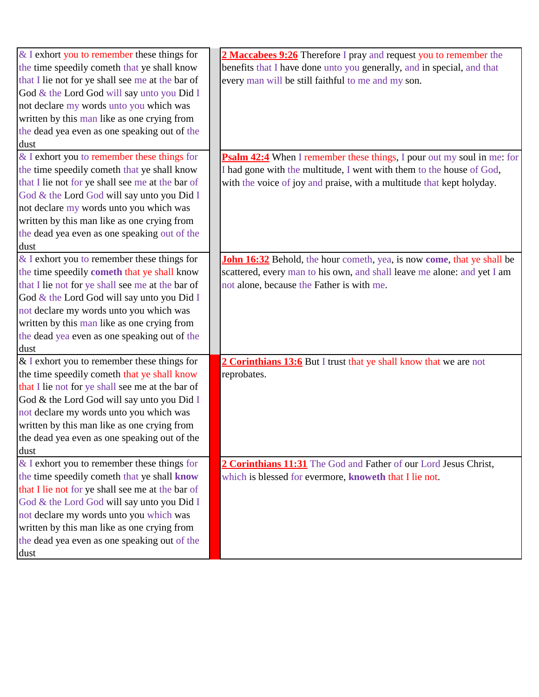| $&$ I exhort you to remember these things for      | 2 Maccabees 9:26 Therefore I pray and request you to remember the             |
|----------------------------------------------------|-------------------------------------------------------------------------------|
| the time speedily cometh that ye shall know        | benefits that I have done unto you generally, and in special, and that        |
| that I lie not for ye shall see me at the bar of   | every man will be still faithful to me and my son.                            |
| God & the Lord God will say unto you Did I         |                                                                               |
| not declare my words unto you which was            |                                                                               |
| written by this man like as one crying from        |                                                                               |
| the dead yea even as one speaking out of the       |                                                                               |
| dust                                               |                                                                               |
| $&$ I exhort you to remember these things for      | <b>Psalm 42:4</b> When I remember these things, I pour out my soul in me: for |
| the time speedily cometh that ye shall know        | I had gone with the multitude, I went with them to the house of God,          |
| that I lie not for ye shall see me at the bar of   | with the voice of joy and praise, with a multitude that kept holyday.         |
| God & the Lord God will say unto you Did I         |                                                                               |
| not declare my words unto you which was            |                                                                               |
| written by this man like as one crying from        |                                                                               |
| the dead yea even as one speaking out of the       |                                                                               |
| dust                                               |                                                                               |
| $&$ I exhort you to remember these things for      | John 16:32 Behold, the hour cometh, yea, is now come, that ye shall be        |
| the time speedily <b>cometh</b> that ye shall know | scattered, every man to his own, and shall leave me alone: and yet I am       |
| that I lie not for ye shall see me at the bar of   | not alone, because the Father is with me.                                     |
| God & the Lord God will say unto you Did I         |                                                                               |
| not declare my words unto you which was            |                                                                               |
| written by this man like as one crying from        |                                                                               |
| the dead yea even as one speaking out of the       |                                                                               |
| dust                                               |                                                                               |
| $&$ I exhort you to remember these things for      | 2 Corinthians 13:6 But I trust that ye shall know that we are not             |
| the time speedily cometh that ye shall know        | reprobates.                                                                   |
| that I lie not for ye shall see me at the bar of   |                                                                               |
| God & the Lord God will say unto you Did I         |                                                                               |
| not declare my words unto you which was            |                                                                               |
| written by this man like as one crying from        |                                                                               |
| the dead yea even as one speaking out of the       |                                                                               |
| dust                                               |                                                                               |
| $&$ I exhort you to remember these things for      | 2 Corinthians 11:31 The God and Father of our Lord Jesus Christ,              |
| the time speedily cometh that ye shall know        | which is blessed for evermore, knoweth that I lie not.                        |
| that I lie not for ye shall see me at the bar of   |                                                                               |
| God & the Lord God will say unto you Did I         |                                                                               |
| not declare my words unto you which was            |                                                                               |
| written by this man like as one crying from        |                                                                               |
| the dead yea even as one speaking out of the       |                                                                               |
| dust                                               |                                                                               |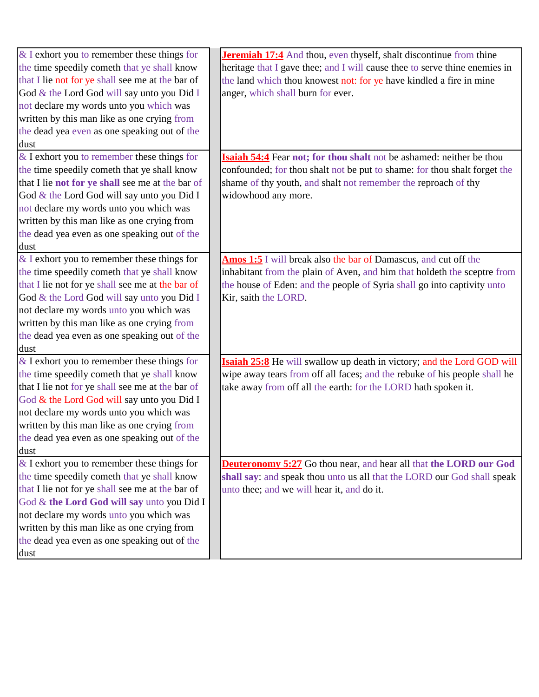| $&$ I exhort you to remember these things for    | <b>Jeremiah 17:4</b> And thou, even thyself, shalt discontinue from thine  |
|--------------------------------------------------|----------------------------------------------------------------------------|
| the time speedily cometh that ye shall know      | heritage that I gave thee; and I will cause thee to serve thine enemies in |
| that I lie not for ye shall see me at the bar of | the land which thou knowest not: for ye have kindled a fire in mine        |
| God & the Lord God will say unto you Did I       | anger, which shall burn for ever.                                          |
| not declare my words unto you which was          |                                                                            |
| written by this man like as one crying from      |                                                                            |
| the dead yea even as one speaking out of the     |                                                                            |
| dust                                             |                                                                            |
| $&$ I exhort you to remember these things for    | Isaiah 54:4 Fear not; for thou shalt not be ashamed: neither be thou       |
| the time speedily cometh that ye shall know      | confounded; for thou shalt not be put to shame: for thou shalt forget the  |
| that I lie not for ye shall see me at the bar of | shame of thy youth, and shalt not remember the reproach of thy             |
| God & the Lord God will say unto you Did I       | widowhood any more.                                                        |
| not declare my words unto you which was          |                                                                            |
| written by this man like as one crying from      |                                                                            |
| the dead yea even as one speaking out of the     |                                                                            |
| dust                                             |                                                                            |
| $&$ I exhort you to remember these things for    | Amos 1:5 I will break also the bar of Damascus, and cut off the            |
| the time speedily cometh that ye shall know      | inhabitant from the plain of Aven, and him that holdeth the sceptre from   |
| that I lie not for ye shall see me at the bar of | the house of Eden: and the people of Syria shall go into captivity unto    |
| God & the Lord God will say unto you Did I       | Kir, saith the LORD.                                                       |
| not declare my words unto you which was          |                                                                            |
| written by this man like as one crying from      |                                                                            |
| the dead yea even as one speaking out of the     |                                                                            |
| dust                                             |                                                                            |
| $\&$ I exhort you to remember these things for   | Isaiah 25:8 He will swallow up death in victory; and the Lord GOD will     |
| the time speedily cometh that ye shall know      | wipe away tears from off all faces; and the rebuke of his people shall he  |
| that I lie not for ye shall see me at the bar of | take away from off all the earth: for the LORD hath spoken it.             |
| God & the Lord God will say unto you Did I       |                                                                            |
| not declare my words unto you which was          |                                                                            |
| written by this man like as one crying from      |                                                                            |
| the dead yea even as one speaking out of the     |                                                                            |
| dust                                             |                                                                            |
| $&$ I exhort you to remember these things for    | <b>Deuteronomy 5:27</b> Go thou near, and hear all that the LORD our God   |
| the time speedily cometh that ye shall know      | shall say: and speak thou unto us all that the LORD our God shall speak    |
| that I lie not for ye shall see me at the bar of | unto thee; and we will hear it, and do it.                                 |
| God & the Lord God will say unto you Did I       |                                                                            |
| not declare my words unto you which was          |                                                                            |
| written by this man like as one crying from      |                                                                            |
| the dead yea even as one speaking out of the     |                                                                            |
| dust                                             |                                                                            |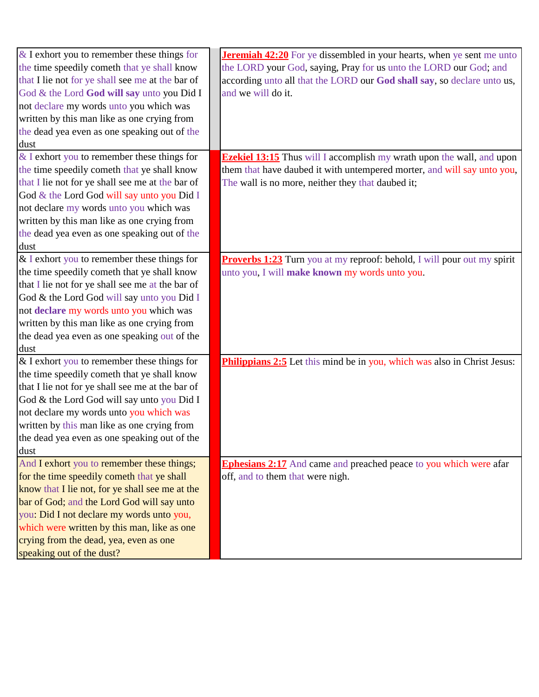| $&$ I exhort you to remember these things for    | <b>Jeremiah 42:20</b> For ye dissembled in your hearts, when ye sent me unto    |
|--------------------------------------------------|---------------------------------------------------------------------------------|
| the time speedily cometh that ye shall know      | the LORD your God, saying, Pray for us unto the LORD our God; and               |
| that I lie not for ye shall see me at the bar of | according unto all that the LORD our God shall say, so declare unto us,         |
| God & the Lord God will say unto you Did I       | and we will do it.                                                              |
| not declare my words unto you which was          |                                                                                 |
| written by this man like as one crying from      |                                                                                 |
| the dead yea even as one speaking out of the     |                                                                                 |
| dust                                             |                                                                                 |
| $&$ I exhort you to remember these things for    | <b>Ezekiel 13:15</b> Thus will I accomplish my wrath upon the wall, and upon    |
| the time speedily cometh that ye shall know      | them that have daubed it with untempered morter, and will say unto you,         |
| that I lie not for ye shall see me at the bar of | The wall is no more, neither they that daubed it;                               |
| God & the Lord God will say unto you Did I       |                                                                                 |
| not declare my words unto you which was          |                                                                                 |
| written by this man like as one crying from      |                                                                                 |
| the dead yea even as one speaking out of the     |                                                                                 |
| dust                                             |                                                                                 |
| & I exhort you to remember these things for      | <b>Proverbs 1:23</b> Turn you at my reproof: behold, I will pour out my spirit  |
| the time speedily cometh that ye shall know      | unto you, I will make known my words unto you.                                  |
| that I lie not for ye shall see me at the bar of |                                                                                 |
| God & the Lord God will say unto you Did I       |                                                                                 |
|                                                  |                                                                                 |
| not declare my words unto you which was          |                                                                                 |
| written by this man like as one crying from      |                                                                                 |
| the dead yea even as one speaking out of the     |                                                                                 |
| dust                                             |                                                                                 |
| $&$ I exhort you to remember these things for    | <b>Philippians 2:5</b> Let this mind be in you, which was also in Christ Jesus: |
| the time speedily cometh that ye shall know      |                                                                                 |
| that I lie not for ye shall see me at the bar of |                                                                                 |
| God & the Lord God will say unto you Did I       |                                                                                 |
| not declare my words unto you which was          |                                                                                 |
| written by this man like as one crying from      |                                                                                 |
| the dead yea even as one speaking out of the     |                                                                                 |
| dust                                             |                                                                                 |
| And I exhort you to remember these things;       | <b>Ephesians 2:17</b> And came and preached peace to you which were afar        |
| for the time speedily cometh that ye shall       | off, and to them that were nigh.                                                |
| know that I lie not, for ye shall see me at the  |                                                                                 |
| bar of God; and the Lord God will say unto       |                                                                                 |
| you: Did I not declare my words unto you,        |                                                                                 |
| which were written by this man, like as one      |                                                                                 |
| crying from the dead, yea, even as one           |                                                                                 |
| speaking out of the dust?                        |                                                                                 |